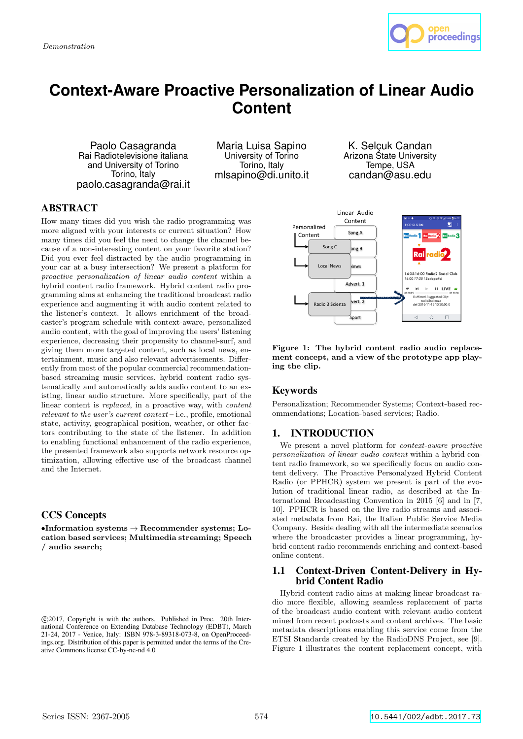

# **Context-Aware Proactive Personalization of Linear Audio Content**

Paolo Casagranda Rai Radiotelevisione italiana and University of Torino Torino, Italy paolo.casagranda@rai.it

Maria Luisa Sapino University of Torino Torino, Italy mlsapino@di.unito.it

K. Selçuk Candan Arizona State University Tempe, USA candan@asu.edu

# **ABSTRACT**

How many times did you wish the radio programming was more aligned with your interests or current situation? How many times did you feel the need to change the channel because of a non-interesting content on your favorite station? Did you ever feel distracted by the audio programming in your car at a busy intersection? We present a platform for proactive personalization of linear audio content within a hybrid content radio framework. Hybrid content radio programming aims at enhancing the traditional broadcast radio experience and augmenting it with audio content related to the listener's context. It allows enrichment of the broadcaster's program schedule with context-aware, personalized audio content, with the goal of improving the users' listening experience, decreasing their propensity to channel-surf, and giving them more targeted content, such as local news, entertainment, music and also relevant advertisements. Differently from most of the popular commercial recommendationbased streaming music services, hybrid content radio systematically and automatically adds audio content to an existing, linear audio structure. More specifically, part of the linear content is *replaced*, in a proactive way, with *content* relevant to the user's current context – i.e., profile, emotional state, activity, geographical position, weather, or other factors contributing to the state of the listener. In addition to enabling functional enhancement of the radio experience, the presented framework also supports network resource optimization, allowing effective use of the broadcast channel and the Internet.

# CCS Concepts

 $\bullet$ Information systems  $\to$  Recommender systems; Location based services; Multimedia streaming; Speech / audio search;



Figure 1: The hybrid content radio audio replacement concept, and a view of the prototype app playing the clip.

# Keywords

Personalization; Recommender Systems; Context-based recommendations; Location-based services; Radio.

# 1. INTRODUCTION

We present a novel platform for context-aware proactive personalization of linear audio content within a hybrid content radio framework, so we specifically focus on audio content delivery. The Proactive Personalyzed Hybrid Content Radio (or PPHCR) system we present is part of the evolution of traditional linear radio, as described at the International Broadcasting Convention in 2015 [6] and in [7, 10]. PPHCR is based on the live radio streams and associated metadata from Rai, the Italian Public Service Media Company. Beside dealing with all the intermediate scenarios where the broadcaster provides a linear programming, hybrid content radio recommends enriching and context-based online content.

### 1.1 Context-Driven Content-Delivery in Hybrid Content Radio

Hybrid content radio aims at making linear broadcast radio more flexible, allowing seamless replacement of parts of the broadcast audio content with relevant audio content mined from recent podcasts and content archives. The basic metadata descriptions enabling this service come from the ETSI Standards created by the RadioDNS Project, see [9]. Figure 1 illustrates the content replacement concept, with

c 2017, Copyright is with the authors. Published in Proc. 20th International Conference on Extending Database Technology (EDBT), March 21-24, 2017 - Venice, Italy: ISBN 978-3-89318-073-8, on OpenProceedings.org. Distribution of this paper is permitted under the terms of the Creative Commons license CC-by-nc-nd 4.0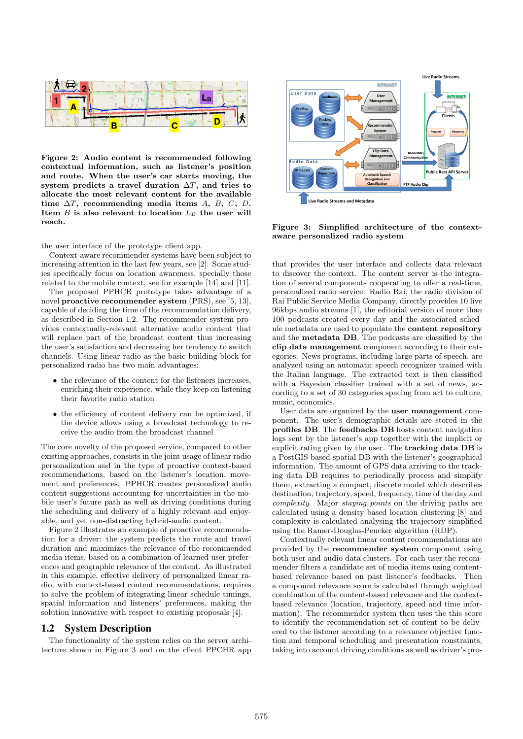

Figure 2: Audio content is recommended following contextual information, such as listener's position and route. When the user's car starts moving, the system predicts a travel duration  $\Delta T$ , and tries to allocate the most relevant content for the available time  $\Delta T$ , recommending media items A, B, C, D. Item  $B$  is also relevant to location  $L_B$  the user will reach.

the user interface of the prototype client app.

Context-aware recommender systems have been subject to increasing attention in the last few years, see [2]. Some studies specifically focus on location awareness, specially those related to the mobile context, see for example [14] and [11].

The proposed PPHCR prototype takes advantage of a novel proactive recommender system (PRS), see [5, 13], capable of deciding the time of the recommendation delivery, as described in Section 1.2. The recommender system provides contextually-relevant alternative audio content that will replace part of the broadcast content thus increasing the user's satisfaction and decreasing her tendency to switch channels. Using linear radio as the basic building block for personalized radio has two main advantages:

- the relevance of the content for the listeners increases, enriching their experience, while they keep on listening their favorite radio station
- the efficiency of content delivery can be optimized, if the device allows using a broadcast technology to receive the audio from the broadcast channel

The core novelty of the proposed service, compared to other existing approaches, consists in the joint usage of linear radio personalization and in the type of proactive context-based recommendations, based on the listener's location, movement and preferences. PPHCR creates personalized audio content suggestions accounting for uncertainties in the mobile user's future path as well as driving conditions during the scheduling and delivery of a highly relevant and enjoyable, and yet non-distracting hybrid-audio content.

Figure 2 illustrates an example of proactive recommendation for a driver: the system predicts the route and travel duration and maximizes the relevance of the recommended media items, based on a combination of learned user preferences and geographic relevance of the content. As illustrated in this example, effective delivery of personalized linear radio, with context-based content recommendations, requires to solve the problem of integrating linear schedule timings, spatial information and listeners' preferences, making the solution innovative with respect to existing proposals [4].

## 1.2 System Description

The functionality of the system relies on the server architecture shown in Figure 3 and on the client PPCHR app



Figure 3: Simplified architecture of the contextaware personalized radio system

that provides the user interface and collects data relevant to discover the context. The content server is the integration of several components cooperating to offer a real-time, personalized radio service. Radio Rai, the radio division of Rai Public Service Media Company, directly provides 10 live 96kbps audio streams [1], the editorial version of more than 100 podcasts created every day and the associated schedule metadata are used to populate the content repository and the metadata DB. The podcasts are classified by the clip data management component according to their categories. News programs, including large parts of speech, are analyzed using an automatic speech recognizer trained with the Italian language. The extracted text is then classified with a Bayesian classifier trained with a set of news, according to a set of 30 categories spacing from art to culture, music, economics.

User data are organized by the user management component. The user's demographic details are stored in the profiles DB. The feedbacks DB hosts content navigation logs sent by the listener's app together with the implicit or explicit rating given by the user. The tracking data DB is a PostGIS based spatial DB with the listener's geographical information. The amount of GPS data arriving to the tracking data DB requires to periodically process and simplify them, extracting a compact, discrete model which describes destination, trajectory, speed, frequency, time of the day and complexity. Major staying points on the driving paths are calculated using a density based location clustering [8] and complexity is calculated analysing the trajectory simplified using the Ramer-Douglas-Peucker algorithm (RDP).

Contextually relevant linear content recommendations are provided by the recommender system component using both user and audio data clusters. For each user the recommender filters a candidate set of media items using contentbased relevance based on past listener's feedbacks. Then a compound relevance score is calculated through weighted combination of the content-based relevance and the contextbased relevance (location, trajectory, speed and time information). The recommender system then uses the this score to identify the recommendation set of content to be delivered to the listener according to a relevance objective function and temporal scheduling and presentation constraints, taking into account driving conditions as well as driver's pro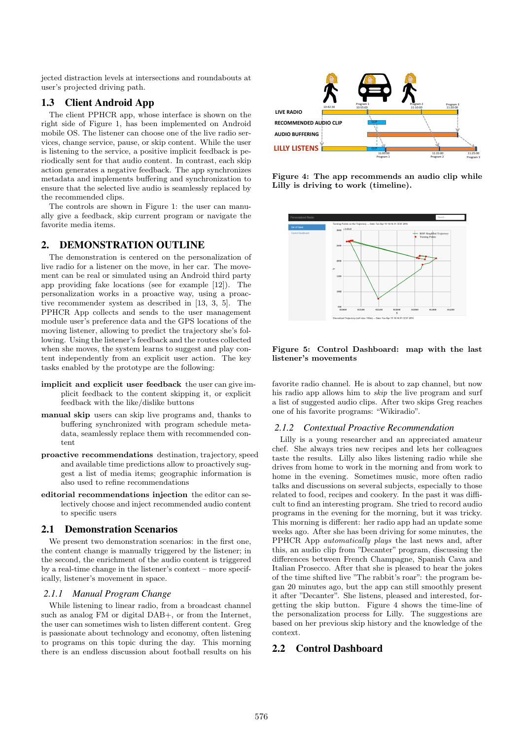jected distraction levels at intersections and roundabouts at user's projected driving path.

## 1.3 Client Android App

The client PPHCR app, whose interface is shown on the right side of Figure 1, has been implemented on Android mobile OS. The listener can choose one of the live radio services, change service, pause, or skip content. While the user is listening to the service, a positive implicit feedback is periodically sent for that audio content. In contrast, each skip action generates a negative feedback. The app synchronizes metadata and implements buffering and synchronization to ensure that the selected live audio is seamlessly replaced by the recommended clips.

The controls are shown in Figure 1: the user can manually give a feedback, skip current program or navigate the favorite media items.

## 2. DEMONSTRATION OUTLINE

The demonstration is centered on the personalization of live radio for a listener on the move, in her car. The movement can be real or simulated using an Android third party app providing fake locations (see for example [12]). The personalization works in a proactive way, using a proactive recommender system as described in [13, 3, 5]. The PPHCR App collects and sends to the user management module user's preference data and the GPS locations of the moving listener, allowing to predict the trajectory she's following. Using the listener's feedback and the routes collected when she moves, the system learns to suggest and play content independently from an explicit user action. The key tasks enabled by the prototype are the following:

- implicit and explicit user feedback the user can give implicit feedback to the content skipping it, or explicit feedback with the like/dislike buttons
- manual skip users can skip live programs and, thanks to buffering synchronized with program schedule metadata, seamlessly replace them with recommended content
- proactive recommendations destination, trajectory, speed and available time predictions allow to proactively suggest a list of media items; geographic information is also used to refine recommendations
- editorial recommendations injection the editor can selectively choose and inject recommended audio content to specific users

#### 2.1 Demonstration Scenarios

We present two demonstration scenarios: in the first one, the content change is manually triggered by the listener; in the second, the enrichment of the audio content is triggered by a real-time change in the listener's context – more specifically, listener's movement in space.

#### *2.1.1 Manual Program Change*

While listening to linear radio, from a broadcast channel such as analog FM or digital DAB+, or from the Internet, the user can sometimes wish to listen different content. Greg is passionate about technology and economy, often listening to programs on this topic during the day. This morning there is an endless discussion about football results on his



Figure 4: The app recommends an audio clip while Lilly is driving to work (timeline).



#### Figure 5: Control Dashboard: map with the last listener's movements

favorite radio channel. He is about to zap channel, but now his radio app allows him to skip the live program and surf a list of suggested audio clips. After two skips Greg reaches one of his favorite programs: "Wikiradio".

#### *2.1.2 Contextual Proactive Recommendation*

Lilly is a young researcher and an appreciated amateur chef. She always tries new recipes and lets her colleagues taste the results. Lilly also likes listening radio while she drives from home to work in the morning and from work to home in the evening. Sometimes music, more often radio talks and discussions on several subjects, especially to those related to food, recipes and cookery. In the past it was difficult to find an interesting program. She tried to record audio programs in the evening for the morning, but it was tricky. This morning is different: her radio app had an update some weeks ago. After she has been driving for some minutes, the PPHCR App automatically plays the last news and, after this, an audio clip from "Decanter" program, discussing the differences between French Champagne, Spanish Cava and Italian Prosecco. After that she is pleased to hear the jokes of the time shifted live "The rabbit's roar": the program began 20 minutes ago, but the app can still smoothly present it after "Decanter". She listens, pleased and interested, forgetting the skip button. Figure 4 shows the time-line of the personalization process for Lilly. The suggestions are based on her previous skip history and the knowledge of the context.

## 2.2 Control Dashboard